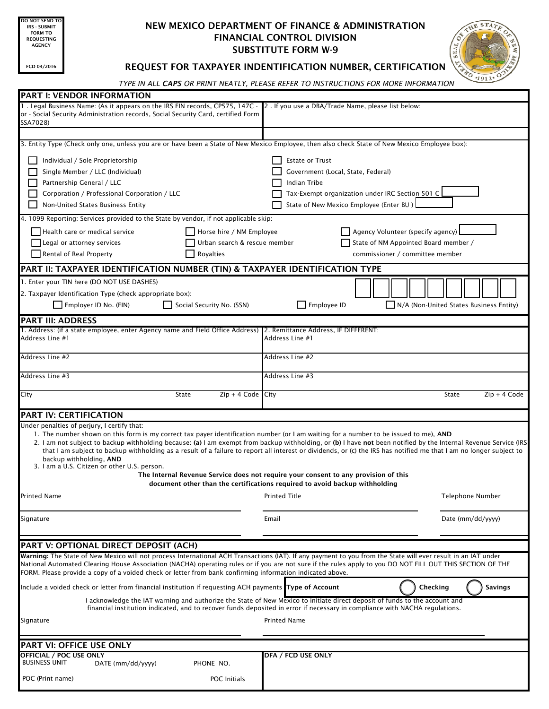O NOT SEND T IRS - SUBMIT FORM TO REQUESTING AGENCY

## NEW MEXICO DEPARTMENT OF FINANCE & ADMINISTRATION FINANCIAL CONTROL DIVISION SUBSTITUTE FORM W-9



## FCD 04/2016 | REQUEST FOR TAXPAYER INDENTIFICATION NUMBER, CERTIFICATION

*TYPE IN ALL CAPS OR PRINT NEATLY, PLEASE REFER TO INSTRUCTIONS FOR MORE INFORMATION*

| <b>PART I: VENDOR INFORMATION</b>                                                                                                                                                                                                                                                                                                                                                                                                                                                                                                                                                                                                                                                                                                                                                |                                                                                                                                                                             |                   |
|----------------------------------------------------------------------------------------------------------------------------------------------------------------------------------------------------------------------------------------------------------------------------------------------------------------------------------------------------------------------------------------------------------------------------------------------------------------------------------------------------------------------------------------------------------------------------------------------------------------------------------------------------------------------------------------------------------------------------------------------------------------------------------|-----------------------------------------------------------------------------------------------------------------------------------------------------------------------------|-------------------|
| 1. Legal Business Name: (As it appears on the IRS EIN records, CP575, 147C - 2. If you use a DBA/Trade Name, please list below:<br>or - Social Security Administration records, Social Security Card, certified Form<br>SSA7028)                                                                                                                                                                                                                                                                                                                                                                                                                                                                                                                                                 |                                                                                                                                                                             |                   |
|                                                                                                                                                                                                                                                                                                                                                                                                                                                                                                                                                                                                                                                                                                                                                                                  |                                                                                                                                                                             |                   |
| 3. Entity Type (Check only one, unless you are or have been a State of New Mexico Employee, then also check State of New Mexico Employee box):                                                                                                                                                                                                                                                                                                                                                                                                                                                                                                                                                                                                                                   |                                                                                                                                                                             |                   |
| Individual / Sole Proprietorship<br>Single Member / LLC (Individual)<br>Partnership General / LLC<br>Corporation / Professional Corporation / LLC<br>Non-United States Business Entity                                                                                                                                                                                                                                                                                                                                                                                                                                                                                                                                                                                           | <b>Estate or Trust</b><br>Government (Local, State, Federal)<br>Indian Tribe<br>Tax-Exempt organization under IRC Section 501 C<br>State of New Mexico Employee (Enter BU ) |                   |
| 4. 1099 Reporting: Services provided to the State by vendor, if not applicable skip:                                                                                                                                                                                                                                                                                                                                                                                                                                                                                                                                                                                                                                                                                             |                                                                                                                                                                             |                   |
| Health care or medical service<br>Horse hire / NM Employee<br>Legal or attorney services<br>Urban search & rescue member<br>Rental of Real Property<br>Royalties                                                                                                                                                                                                                                                                                                                                                                                                                                                                                                                                                                                                                 | Agency Volunteer (specify agency)<br>State of NM Appointed Board member /<br>commissioner / committee member                                                                |                   |
| PART II: TAXPAYER IDENTIFICATION NUMBER (TIN) & TAXPAYER IDENTIFICATION TYPE                                                                                                                                                                                                                                                                                                                                                                                                                                                                                                                                                                                                                                                                                                     |                                                                                                                                                                             |                   |
| 1. Enter your TIN here (DO NOT USE DASHES)<br>2. Taxpayer Identification Type (check appropriate box):<br>Employer ID No. (EIN)<br>Social Security No. (SSN)                                                                                                                                                                                                                                                                                                                                                                                                                                                                                                                                                                                                                     | Employee ID<br>N/A (Non-United States Business Entity)                                                                                                                      |                   |
| <b>PART III: ADDRESS</b>                                                                                                                                                                                                                                                                                                                                                                                                                                                                                                                                                                                                                                                                                                                                                         |                                                                                                                                                                             |                   |
| 1. Address: (if a state employee, enter Agency name and Field Office Address) 2. Remittance Address, IF DIFFERENT:<br>Address Line #1                                                                                                                                                                                                                                                                                                                                                                                                                                                                                                                                                                                                                                            | Address Line #1                                                                                                                                                             |                   |
| Address Line #2                                                                                                                                                                                                                                                                                                                                                                                                                                                                                                                                                                                                                                                                                                                                                                  | Address Line #2                                                                                                                                                             |                   |
| Address Line #3                                                                                                                                                                                                                                                                                                                                                                                                                                                                                                                                                                                                                                                                                                                                                                  | Address Line #3                                                                                                                                                             |                   |
| $Zip + 4 Code$ City<br>City<br>State                                                                                                                                                                                                                                                                                                                                                                                                                                                                                                                                                                                                                                                                                                                                             | State                                                                                                                                                                       | $Zip + 4 Code$    |
| PART IV: CERTIFICATION                                                                                                                                                                                                                                                                                                                                                                                                                                                                                                                                                                                                                                                                                                                                                           |                                                                                                                                                                             |                   |
| Under penalties of perjury, I certify that:<br>1. The number shown on this form is my correct tax payer identification number (or I am waiting for a number to be issued to me), AND<br>2. I am not subject to backup withholding because: (a) I am exempt from backup withholding, or (b) I have not been notified by the Internal Revenue Service (IRS<br>that I am subject to backup withholding as a result of a failure to report all interest or dividends, or (c) the IRS has notified me that I am no longer subject to<br>backup withholding, AND<br>3. I am a U.S. Citizen or other U.S. person.<br>The Internal Revenue Service does not require your consent to any provision of this<br>document other than the certifications required to avoid backup withholding |                                                                                                                                                                             |                   |
| Printed Name                                                                                                                                                                                                                                                                                                                                                                                                                                                                                                                                                                                                                                                                                                                                                                     | <b>Printed Title</b>                                                                                                                                                        | Telephone Number  |
|                                                                                                                                                                                                                                                                                                                                                                                                                                                                                                                                                                                                                                                                                                                                                                                  |                                                                                                                                                                             |                   |
| Signature                                                                                                                                                                                                                                                                                                                                                                                                                                                                                                                                                                                                                                                                                                                                                                        | Email                                                                                                                                                                       | Date (mm/dd/yyyy) |
| PART V: OPTIONAL DIRECT DEPOSIT (ACH)                                                                                                                                                                                                                                                                                                                                                                                                                                                                                                                                                                                                                                                                                                                                            |                                                                                                                                                                             |                   |
| Warning: The State of New Mexico will not process International ACH Transactions (IAT). If any payment to you from the State will ever result in an IAT under<br>National Automated Clearing House Association (NACHA) operating rules or if you are not sure if the rules apply to you DO NOT FILL OUT THIS SECTION OF THE<br>FORM. Please provide a copy of a voided check or letter from bank confirming information indicated above.                                                                                                                                                                                                                                                                                                                                         |                                                                                                                                                                             |                   |
| Include a voided check or letter from financial institution if requesting ACH payments Type of Account<br>Checking<br><b>Savings</b>                                                                                                                                                                                                                                                                                                                                                                                                                                                                                                                                                                                                                                             |                                                                                                                                                                             |                   |
| I acknowledge the IAT warning and authorize the State of New Mexico to initiate direct deposit of funds to the account and<br>financial institution indicated, and to recover funds deposited in error if necessary in compliance with NACHA regulations.                                                                                                                                                                                                                                                                                                                                                                                                                                                                                                                        |                                                                                                                                                                             |                   |
| Signature                                                                                                                                                                                                                                                                                                                                                                                                                                                                                                                                                                                                                                                                                                                                                                        | <b>Printed Name</b>                                                                                                                                                         |                   |
| PART VI: OFFICE USE ONLY                                                                                                                                                                                                                                                                                                                                                                                                                                                                                                                                                                                                                                                                                                                                                         |                                                                                                                                                                             |                   |
| <b>OFFICIAL / POC USE ONLY</b><br><b>BUSINESS UNIT</b><br>PHONE NO.<br>DATE (mm/dd/yyyy)                                                                                                                                                                                                                                                                                                                                                                                                                                                                                                                                                                                                                                                                                         | DFA / FCD USE ONLY                                                                                                                                                          |                   |
| POC (Print name)<br><b>POC</b> Initials                                                                                                                                                                                                                                                                                                                                                                                                                                                                                                                                                                                                                                                                                                                                          |                                                                                                                                                                             |                   |